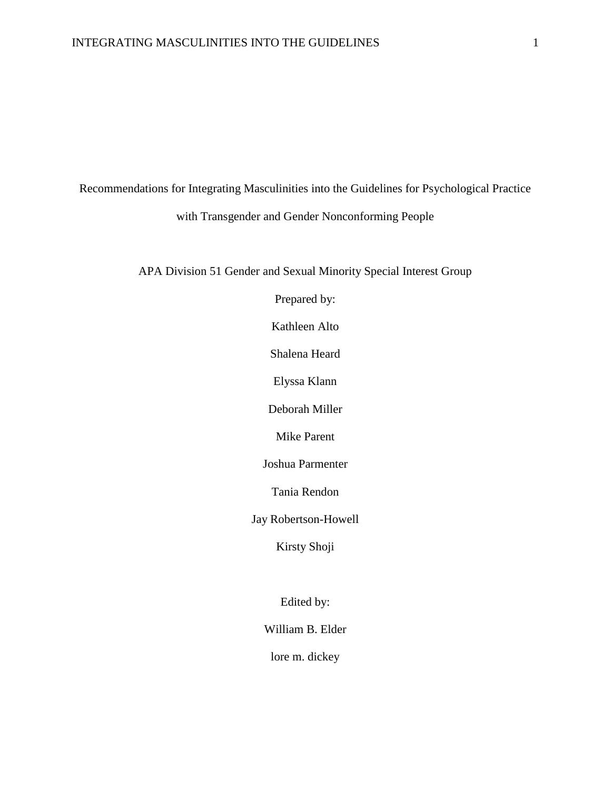Recommendations for Integrating Masculinities into the Guidelines for Psychological Practice with Transgender and Gender Nonconforming People

APA Division 51 Gender and Sexual Minority Special Interest Group

Prepared by:

Kathleen Alto

Shalena Heard

Elyssa Klann

Deborah Miller

Mike Parent

Joshua Parmenter

Tania Rendon

Jay Robertson-Howell

Kirsty Shoji

Edited by:

William B. Elder

lore m. dickey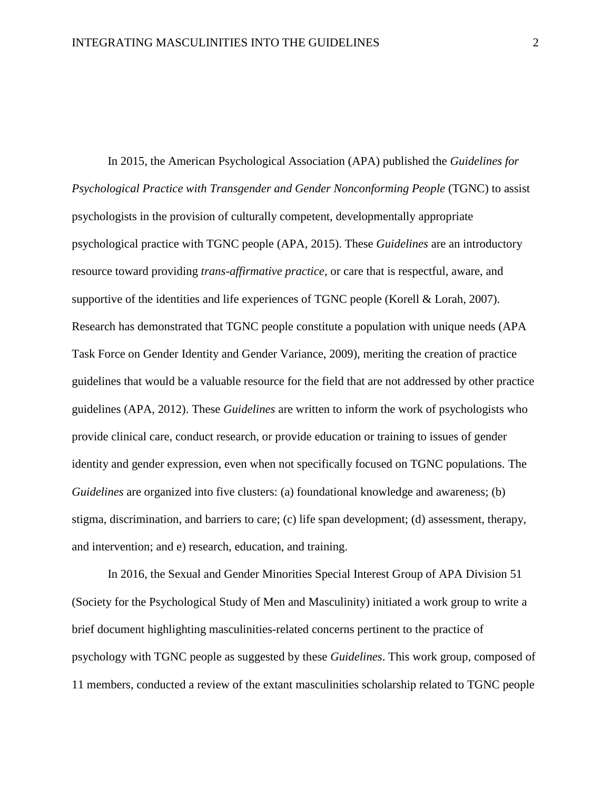In 2015, the American Psychological Association (APA) published the *Guidelines for Psychological Practice with Transgender and Gender Nonconforming People* (TGNC) to assist psychologists in the provision of culturally competent, developmentally appropriate psychological practice with TGNC people (APA, 2015). These *Guidelines* are an introductory resource toward providing *trans-affirmative practice*, or care that is respectful, aware, and supportive of the identities and life experiences of TGNC people (Korell & Lorah, 2007). Research has demonstrated that TGNC people constitute a population with unique needs (APA Task Force on Gender Identity and Gender Variance, 2009), meriting the creation of practice guidelines that would be a valuable resource for the field that are not addressed by other practice guidelines (APA, 2012). These *Guidelines* are written to inform the work of psychologists who provide clinical care, conduct research, or provide education or training to issues of gender identity and gender expression, even when not specifically focused on TGNC populations. The *Guidelines* are organized into five clusters: (a) foundational knowledge and awareness; (b) stigma, discrimination, and barriers to care; (c) life span development; (d) assessment, therapy, and intervention; and e) research, education, and training.

In 2016, the Sexual and Gender Minorities Special Interest Group of APA Division 51 (Society for the Psychological Study of Men and Masculinity) initiated a work group to write a brief document highlighting masculinities-related concerns pertinent to the practice of psychology with TGNC people as suggested by these *Guidelines*. This work group, composed of 11 members, conducted a review of the extant masculinities scholarship related to TGNC people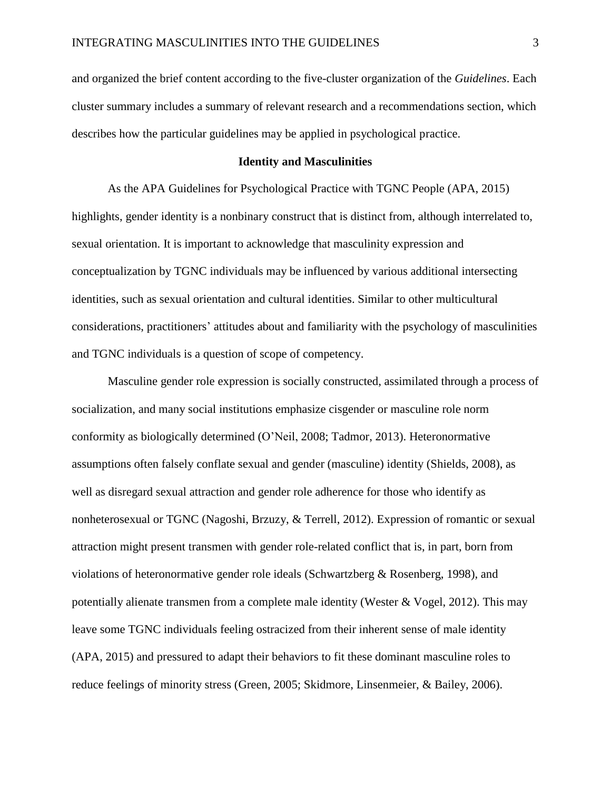and organized the brief content according to the five-cluster organization of the *Guidelines*. Each cluster summary includes a summary of relevant research and a recommendations section, which describes how the particular guidelines may be applied in psychological practice.

## **Identity and Masculinities**

As the APA Guidelines for Psychological Practice with TGNC People (APA, 2015) highlights, gender identity is a nonbinary construct that is distinct from, although interrelated to, sexual orientation. It is important to acknowledge that masculinity expression and conceptualization by TGNC individuals may be influenced by various additional intersecting identities, such as sexual orientation and cultural identities. Similar to other multicultural considerations, practitioners' attitudes about and familiarity with the psychology of masculinities and TGNC individuals is a question of scope of competency.

Masculine gender role expression is socially constructed, assimilated through a process of socialization, and many social institutions emphasize cisgender or masculine role norm conformity as biologically determined (O'Neil, 2008; Tadmor, 2013). Heteronormative assumptions often falsely conflate sexual and gender (masculine) identity (Shields, 2008), as well as disregard sexual attraction and gender role adherence for those who identify as nonheterosexual or TGNC (Nagoshi, Brzuzy, & Terrell, 2012). Expression of romantic or sexual attraction might present transmen with gender role-related conflict that is, in part, born from violations of heteronormative gender role ideals (Schwartzberg & Rosenberg, 1998), and potentially alienate transmen from a complete male identity (Wester & Vogel, 2012). This may leave some TGNC individuals feeling ostracized from their inherent sense of male identity (APA, 2015) and pressured to adapt their behaviors to fit these dominant masculine roles to reduce feelings of minority stress (Green, 2005; Skidmore, Linsenmeier, & Bailey, 2006).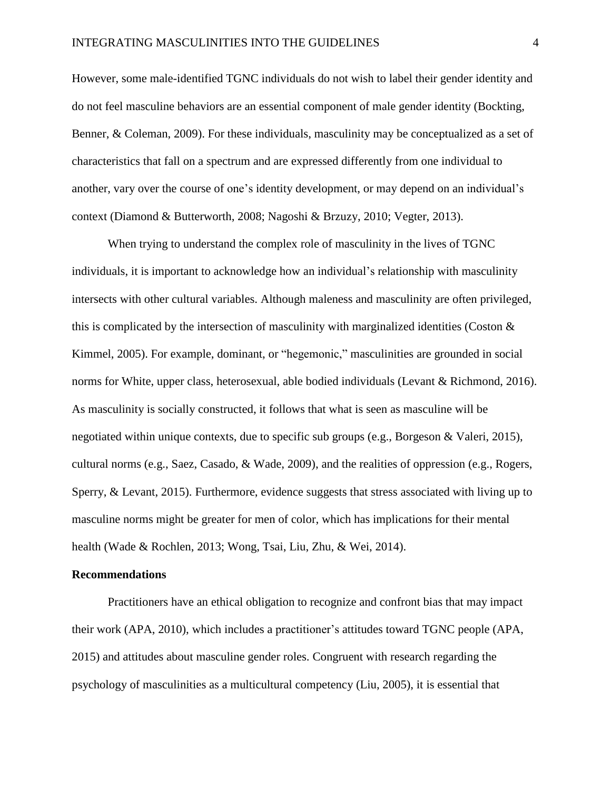However, some male-identified TGNC individuals do not wish to label their gender identity and do not feel masculine behaviors are an essential component of male gender identity (Bockting, Benner, & Coleman, 2009). For these individuals, masculinity may be conceptualized as a set of characteristics that fall on a spectrum and are expressed differently from one individual to another, vary over the course of one's identity development, or may depend on an individual's context (Diamond & Butterworth, 2008; Nagoshi & Brzuzy, 2010; Vegter, 2013).

When trying to understand the complex role of masculinity in the lives of TGNC individuals, it is important to acknowledge how an individual's relationship with masculinity intersects with other cultural variables. Although maleness and masculinity are often privileged, this is complicated by the intersection of masculinity with marginalized identities (Coston  $\&$ Kimmel, 2005). For example, dominant, or "hegemonic," masculinities are grounded in social norms for White, upper class, heterosexual, able bodied individuals (Levant & Richmond, 2016). As masculinity is socially constructed, it follows that what is seen as masculine will be negotiated within unique contexts, due to specific sub groups (e.g., Borgeson & Valeri, 2015), cultural norms (e.g., Saez, Casado, & Wade, 2009), and the realities of oppression (e.g., Rogers, Sperry, & Levant, 2015). Furthermore, evidence suggests that stress associated with living up to masculine norms might be greater for men of color, which has implications for their mental health (Wade & Rochlen, 2013; Wong, Tsai, Liu, Zhu, & Wei, 2014).

#### **Recommendations**

Practitioners have an ethical obligation to recognize and confront bias that may impact their work (APA, 2010), which includes a practitioner's attitudes toward TGNC people (APA, 2015) and attitudes about masculine gender roles. Congruent with research regarding the psychology of masculinities as a multicultural competency (Liu, 2005), it is essential that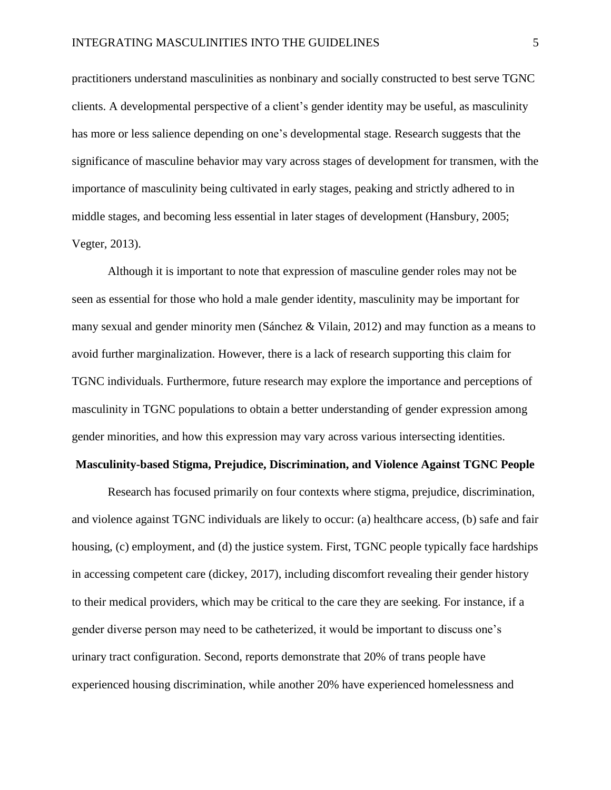practitioners understand masculinities as nonbinary and socially constructed to best serve TGNC clients. A developmental perspective of a client's gender identity may be useful, as masculinity has more or less salience depending on one's developmental stage. Research suggests that the significance of masculine behavior may vary across stages of development for transmen, with the importance of masculinity being cultivated in early stages, peaking and strictly adhered to in middle stages, and becoming less essential in later stages of development (Hansbury, 2005; Vegter, 2013).

Although it is important to note that expression of masculine gender roles may not be seen as essential for those who hold a male gender identity, masculinity may be important for many sexual and gender minority men (Sánchez & Vilain, 2012) and may function as a means to avoid further marginalization. However, there is a lack of research supporting this claim for TGNC individuals. Furthermore, future research may explore the importance and perceptions of masculinity in TGNC populations to obtain a better understanding of gender expression among gender minorities, and how this expression may vary across various intersecting identities.

#### **Masculinity-based Stigma, Prejudice, Discrimination, and Violence Against TGNC People**

Research has focused primarily on four contexts where stigma, prejudice, discrimination, and violence against TGNC individuals are likely to occur: (a) healthcare access, (b) safe and fair housing, (c) employment, and (d) the justice system. First, TGNC people typically face hardships in accessing competent care (dickey, 2017), including discomfort revealing their gender history to their medical providers, which may be critical to the care they are seeking. For instance, if a gender diverse person may need to be catheterized, it would be important to discuss one's urinary tract configuration. Second, reports demonstrate that 20% of trans people have experienced housing discrimination, while another 20% have experienced homelessness and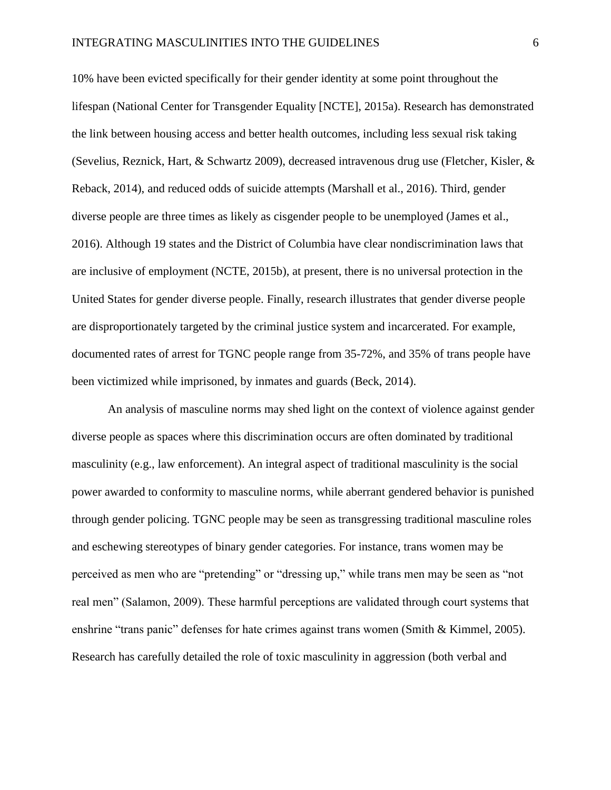10% have been evicted specifically for their gender identity at some point throughout the lifespan (National Center for Transgender Equality [NCTE], 2015a). Research has demonstrated the link between housing access and better health outcomes, including less sexual risk taking (Sevelius, Reznick, Hart, & Schwartz 2009), decreased intravenous drug use (Fletcher, Kisler, & Reback, 2014), and reduced odds of suicide attempts (Marshall et al., 2016). Third, gender diverse people are three times as likely as cisgender people to be unemployed (James et al., 2016). Although 19 states and the District of Columbia have clear nondiscrimination laws that are inclusive of employment (NCTE, 2015b), at present, there is no universal protection in the United States for gender diverse people. Finally, research illustrates that gender diverse people are disproportionately targeted by the criminal justice system and incarcerated. For example, documented rates of arrest for TGNC people range from 35-72%, and 35% of trans people have been victimized while imprisoned, by inmates and guards (Beck, 2014).

An analysis of masculine norms may shed light on the context of violence against gender diverse people as spaces where this discrimination occurs are often dominated by traditional masculinity (e.g., law enforcement). An integral aspect of traditional masculinity is the social power awarded to conformity to masculine norms, while aberrant gendered behavior is punished through gender policing. TGNC people may be seen as transgressing traditional masculine roles and eschewing stereotypes of binary gender categories. For instance, trans women may be perceived as men who are "pretending" or "dressing up," while trans men may be seen as "not real men" (Salamon, 2009). These harmful perceptions are validated through court systems that enshrine "trans panic" defenses for hate crimes against trans women (Smith & Kimmel, 2005). Research has carefully detailed the role of toxic masculinity in aggression (both verbal and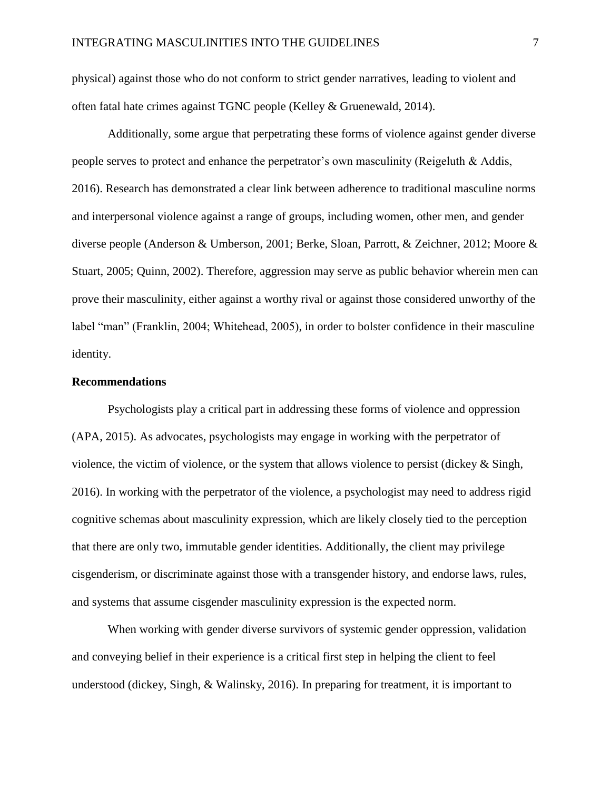physical) against those who do not conform to strict gender narratives, leading to violent and often fatal hate crimes against TGNC people (Kelley & Gruenewald, 2014).

Additionally, some argue that perpetrating these forms of violence against gender diverse people serves to protect and enhance the perpetrator's own masculinity (Reigeluth & Addis, 2016). Research has demonstrated a clear link between adherence to traditional masculine norms and interpersonal violence against a range of groups, including women, other men, and gender diverse people (Anderson & Umberson, 2001; Berke, Sloan, Parrott, & Zeichner, 2012; Moore & Stuart, 2005; Quinn, 2002). Therefore, aggression may serve as public behavior wherein men can prove their masculinity, either against a worthy rival or against those considered unworthy of the label "man" (Franklin, 2004; Whitehead, 2005), in order to bolster confidence in their masculine identity.

## **Recommendations**

Psychologists play a critical part in addressing these forms of violence and oppression (APA, 2015). As advocates, psychologists may engage in working with the perpetrator of violence, the victim of violence, or the system that allows violence to persist (dickey & Singh, 2016). In working with the perpetrator of the violence, a psychologist may need to address rigid cognitive schemas about masculinity expression, which are likely closely tied to the perception that there are only two, immutable gender identities. Additionally, the client may privilege cisgenderism, or discriminate against those with a transgender history, and endorse laws, rules, and systems that assume cisgender masculinity expression is the expected norm.

When working with gender diverse survivors of systemic gender oppression, validation and conveying belief in their experience is a critical first step in helping the client to feel understood (dickey, Singh, & Walinsky, 2016). In preparing for treatment, it is important to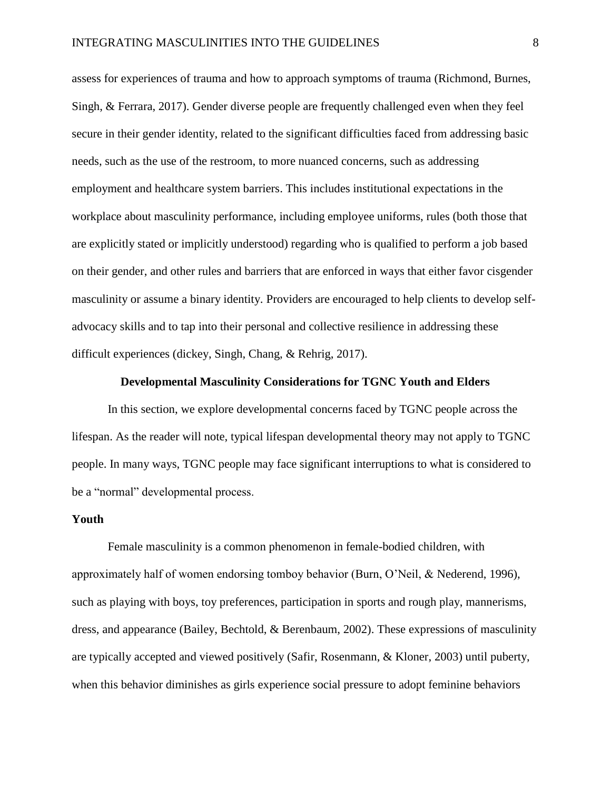assess for experiences of trauma and how to approach symptoms of trauma (Richmond, Burnes, Singh, & Ferrara, 2017). Gender diverse people are frequently challenged even when they feel secure in their gender identity, related to the significant difficulties faced from addressing basic needs, such as the use of the restroom, to more nuanced concerns, such as addressing employment and healthcare system barriers. This includes institutional expectations in the workplace about masculinity performance, including employee uniforms, rules (both those that are explicitly stated or implicitly understood) regarding who is qualified to perform a job based on their gender, and other rules and barriers that are enforced in ways that either favor cisgender masculinity or assume a binary identity. Providers are encouraged to help clients to develop selfadvocacy skills and to tap into their personal and collective resilience in addressing these difficult experiences (dickey, Singh, Chang, & Rehrig, 2017).

## **Developmental Masculinity Considerations for TGNC Youth and Elders**

In this section, we explore developmental concerns faced by TGNC people across the lifespan. As the reader will note, typical lifespan developmental theory may not apply to TGNC people. In many ways, TGNC people may face significant interruptions to what is considered to be a "normal" developmental process.

#### **Youth**

Female masculinity is a common phenomenon in female-bodied children, with approximately half of women endorsing tomboy behavior (Burn, O'Neil, & Nederend, 1996), such as playing with boys, toy preferences, participation in sports and rough play, mannerisms, dress, and appearance (Bailey, Bechtold, & Berenbaum, 2002). These expressions of masculinity are typically accepted and viewed positively (Safir, Rosenmann, & Kloner, 2003) until puberty, when this behavior diminishes as girls experience social pressure to adopt feminine behaviors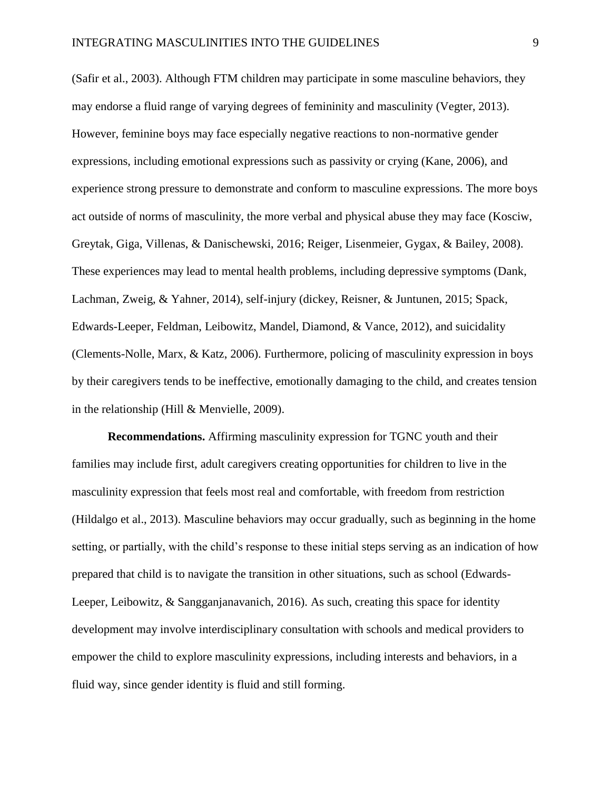(Safir et al., 2003). Although FTM children may participate in some masculine behaviors, they may endorse a fluid range of varying degrees of femininity and masculinity (Vegter, 2013). However, feminine boys may face especially negative reactions to non-normative gender expressions, including emotional expressions such as passivity or crying (Kane, 2006), and experience strong pressure to demonstrate and conform to masculine expressions. The more boys act outside of norms of masculinity, the more verbal and physical abuse they may face (Kosciw, Greytak, Giga, Villenas, & Danischewski, 2016; Reiger, Lisenmeier, Gygax, & Bailey, 2008). These experiences may lead to mental health problems, including depressive symptoms (Dank, Lachman, Zweig, & Yahner, 2014), self-injury (dickey, Reisner, & Juntunen, 2015; Spack, Edwards-Leeper, Feldman, Leibowitz, Mandel, Diamond, & Vance, 2012), and suicidality (Clements-Nolle, Marx, & Katz, 2006). Furthermore, policing of masculinity expression in boys by their caregivers tends to be ineffective, emotionally damaging to the child, and creates tension in the relationship (Hill & Menvielle, 2009).

**Recommendations.** Affirming masculinity expression for TGNC youth and their families may include first, adult caregivers creating opportunities for children to live in the masculinity expression that feels most real and comfortable, with freedom from restriction (Hildalgo et al., 2013). Masculine behaviors may occur gradually, such as beginning in the home setting, or partially, with the child's response to these initial steps serving as an indication of how prepared that child is to navigate the transition in other situations, such as school (Edwards-Leeper, Leibowitz, & Sangganjanavanich, 2016). As such, creating this space for identity development may involve interdisciplinary consultation with schools and medical providers to empower the child to explore masculinity expressions, including interests and behaviors, in a fluid way, since gender identity is fluid and still forming.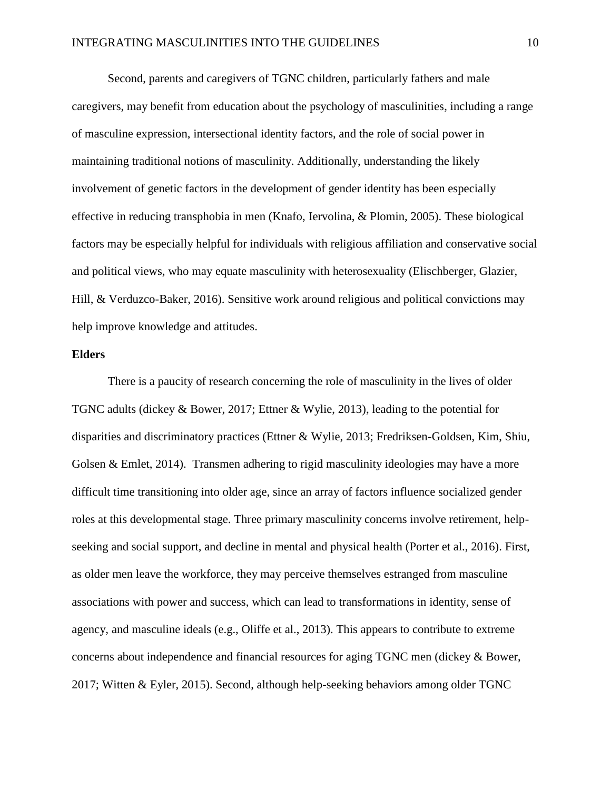Second, parents and caregivers of TGNC children, particularly fathers and male caregivers, may benefit from education about the psychology of masculinities, including a range of masculine expression, intersectional identity factors, and the role of social power in maintaining traditional notions of masculinity. Additionally, understanding the likely involvement of genetic factors in the development of gender identity has been especially effective in reducing transphobia in men (Knafo, Iervolina, & Plomin, 2005). These biological factors may be especially helpful for individuals with religious affiliation and conservative social and political views, who may equate masculinity with heterosexuality (Elischberger, Glazier, Hill, & Verduzco-Baker, 2016). Sensitive work around religious and political convictions may help improve knowledge and attitudes.

## **Elders**

There is a paucity of research concerning the role of masculinity in the lives of older TGNC adults (dickey & Bower, 2017; Ettner & Wylie, 2013), leading to the potential for disparities and discriminatory practices (Ettner & Wylie, 2013; Fredriksen-Goldsen, Kim, Shiu, Golsen & Emlet, 2014). Transmen adhering to rigid masculinity ideologies may have a more difficult time transitioning into older age, since an array of factors influence socialized gender roles at this developmental stage. Three primary masculinity concerns involve retirement, helpseeking and social support, and decline in mental and physical health (Porter et al., 2016). First, as older men leave the workforce, they may perceive themselves estranged from masculine associations with power and success, which can lead to transformations in identity, sense of agency, and masculine ideals (e.g., Oliffe et al., 2013). This appears to contribute to extreme concerns about independence and financial resources for aging TGNC men (dickey & Bower, 2017; Witten & Eyler, 2015). Second, although help-seeking behaviors among older TGNC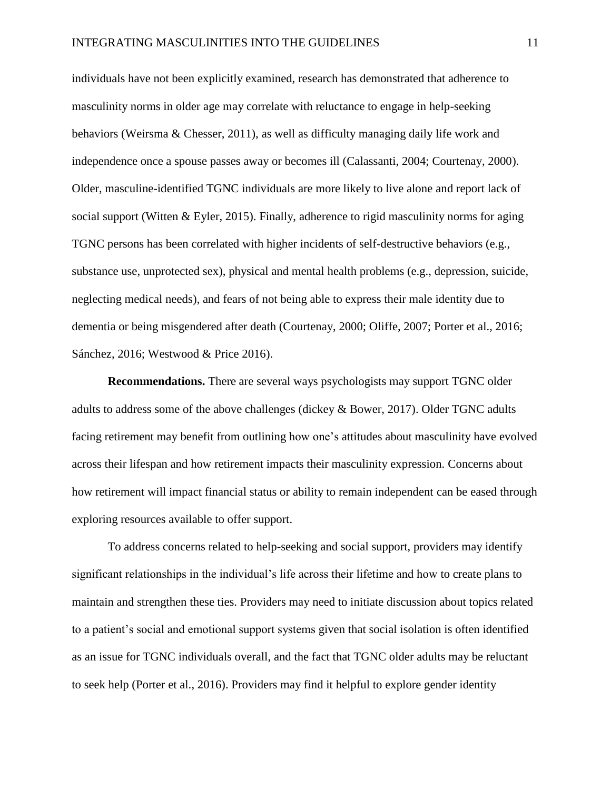individuals have not been explicitly examined, research has demonstrated that adherence to masculinity norms in older age may correlate with reluctance to engage in help-seeking behaviors (Weirsma & Chesser, 2011), as well as difficulty managing daily life work and independence once a spouse passes away or becomes ill (Calassanti, 2004; Courtenay, 2000). Older, masculine-identified TGNC individuals are more likely to live alone and report lack of social support (Witten & Eyler, 2015). Finally, adherence to rigid masculinity norms for aging TGNC persons has been correlated with higher incidents of self-destructive behaviors (e.g., substance use, unprotected sex), physical and mental health problems (e.g., depression, suicide, neglecting medical needs), and fears of not being able to express their male identity due to dementia or being misgendered after death (Courtenay, 2000; Oliffe, 2007; Porter et al., 2016; Sánchez, 2016; Westwood & Price 2016).

**Recommendations.** There are several ways psychologists may support TGNC older adults to address some of the above challenges (dickey & Bower, 2017). Older TGNC adults facing retirement may benefit from outlining how one's attitudes about masculinity have evolved across their lifespan and how retirement impacts their masculinity expression. Concerns about how retirement will impact financial status or ability to remain independent can be eased through exploring resources available to offer support.

To address concerns related to help-seeking and social support, providers may identify significant relationships in the individual's life across their lifetime and how to create plans to maintain and strengthen these ties. Providers may need to initiate discussion about topics related to a patient's social and emotional support systems given that social isolation is often identified as an issue for TGNC individuals overall, and the fact that TGNC older adults may be reluctant to seek help (Porter et al., 2016). Providers may find it helpful to explore gender identity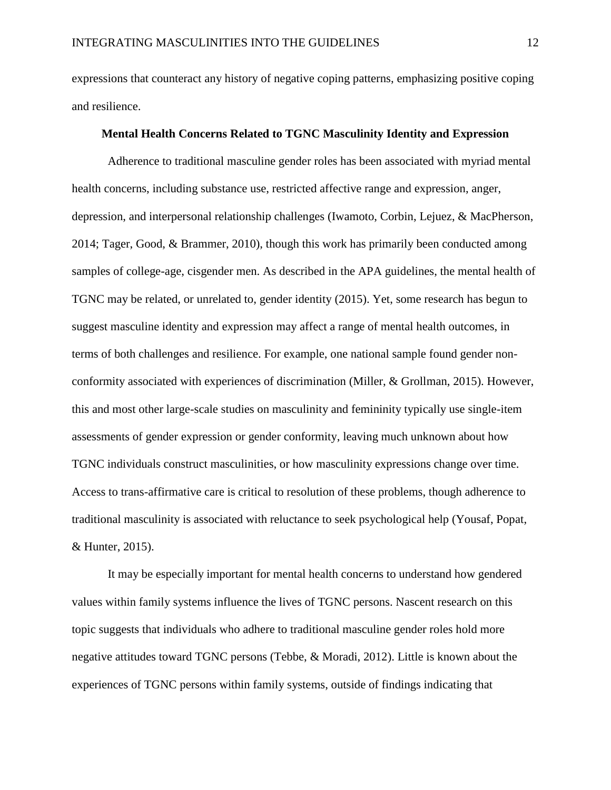expressions that counteract any history of negative coping patterns, emphasizing positive coping and resilience.

## **Mental Health Concerns Related to TGNC Masculinity Identity and Expression**

Adherence to traditional masculine gender roles has been associated with myriad mental health concerns, including substance use, restricted affective range and expression, anger, depression, and interpersonal relationship challenges (Iwamoto, Corbin, Lejuez, & MacPherson, 2014; Tager, Good, & Brammer, 2010), though this work has primarily been conducted among samples of college-age, cisgender men. As described in the APA guidelines, the mental health of TGNC may be related, or unrelated to, gender identity (2015). Yet, some research has begun to suggest masculine identity and expression may affect a range of mental health outcomes, in terms of both challenges and resilience. For example, one national sample found gender nonconformity associated with experiences of discrimination (Miller, & Grollman, 2015). However, this and most other large-scale studies on masculinity and femininity typically use single-item assessments of gender expression or gender conformity, leaving much unknown about how TGNC individuals construct masculinities, or how masculinity expressions change over time. Access to trans-affirmative care is critical to resolution of these problems, though adherence to traditional masculinity is associated with reluctance to seek psychological help (Yousaf, Popat, & Hunter, 2015).

It may be especially important for mental health concerns to understand how gendered values within family systems influence the lives of TGNC persons. Nascent research on this topic suggests that individuals who adhere to traditional masculine gender roles hold more negative attitudes toward TGNC persons (Tebbe, & Moradi, 2012). Little is known about the experiences of TGNC persons within family systems, outside of findings indicating that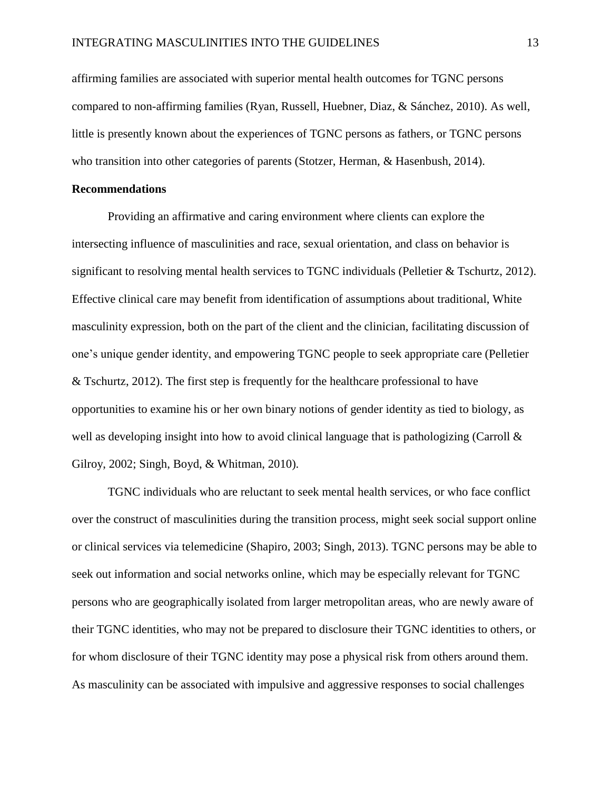affirming families are associated with superior mental health outcomes for TGNC persons compared to non-affirming families (Ryan, Russell, Huebner, Diaz, & Sánchez, 2010). As well, little is presently known about the experiences of TGNC persons as fathers, or TGNC persons who transition into other categories of parents (Stotzer, Herman, & Hasenbush, 2014).

# **Recommendations**

Providing an affirmative and caring environment where clients can explore the intersecting influence of masculinities and race, sexual orientation, and class on behavior is significant to resolving mental health services to TGNC individuals (Pelletier & Tschurtz, 2012). Effective clinical care may benefit from identification of assumptions about traditional, White masculinity expression, both on the part of the client and the clinician, facilitating discussion of one's unique gender identity, and empowering TGNC people to seek appropriate care (Pelletier & Tschurtz, 2012). The first step is frequently for the healthcare professional to have opportunities to examine his or her own binary notions of gender identity as tied to biology, as well as developing insight into how to avoid clinical language that is pathologizing (Carroll  $\&$ Gilroy, 2002; Singh, Boyd, & Whitman, 2010).

TGNC individuals who are reluctant to seek mental health services, or who face conflict over the construct of masculinities during the transition process, might seek social support online or clinical services via telemedicine (Shapiro, 2003; Singh, 2013). TGNC persons may be able to seek out information and social networks online, which may be especially relevant for TGNC persons who are geographically isolated from larger metropolitan areas, who are newly aware of their TGNC identities, who may not be prepared to disclosure their TGNC identities to others, or for whom disclosure of their TGNC identity may pose a physical risk from others around them. As masculinity can be associated with impulsive and aggressive responses to social challenges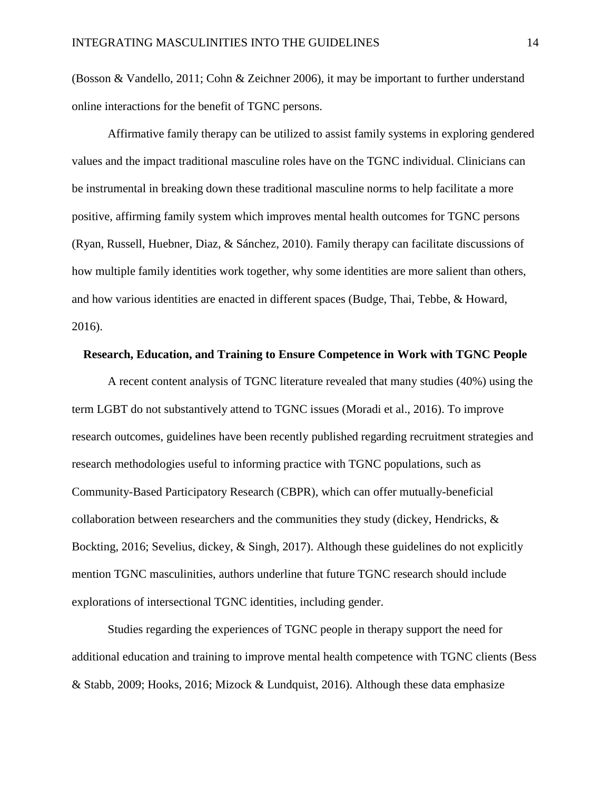(Bosson & Vandello, 2011; Cohn & Zeichner 2006), it may be important to further understand online interactions for the benefit of TGNC persons.

Affirmative family therapy can be utilized to assist family systems in exploring gendered values and the impact traditional masculine roles have on the TGNC individual. Clinicians can be instrumental in breaking down these traditional masculine norms to help facilitate a more positive, affirming family system which improves mental health outcomes for TGNC persons (Ryan, Russell, Huebner, Diaz, & Sánchez, 2010). Family therapy can facilitate discussions of how multiple family identities work together, why some identities are more salient than others, and how various identities are enacted in different spaces (Budge, Thai, Tebbe, & Howard, 2016).

## **Research, Education, and Training to Ensure Competence in Work with TGNC People**

A recent content analysis of TGNC literature revealed that many studies (40%) using the term LGBT do not substantively attend to TGNC issues (Moradi et al., 2016). To improve research outcomes, guidelines have been recently published regarding recruitment strategies and research methodologies useful to informing practice with TGNC populations, such as Community-Based Participatory Research (CBPR), which can offer mutually-beneficial collaboration between researchers and the communities they study (dickey, Hendricks,  $\&$ Bockting, 2016; Sevelius, dickey, & Singh, 2017). Although these guidelines do not explicitly mention TGNC masculinities, authors underline that future TGNC research should include explorations of intersectional TGNC identities, including gender.

Studies regarding the experiences of TGNC people in therapy support the need for additional education and training to improve mental health competence with TGNC clients (Bess & Stabb, 2009; Hooks, 2016; Mizock & Lundquist, 2016). Although these data emphasize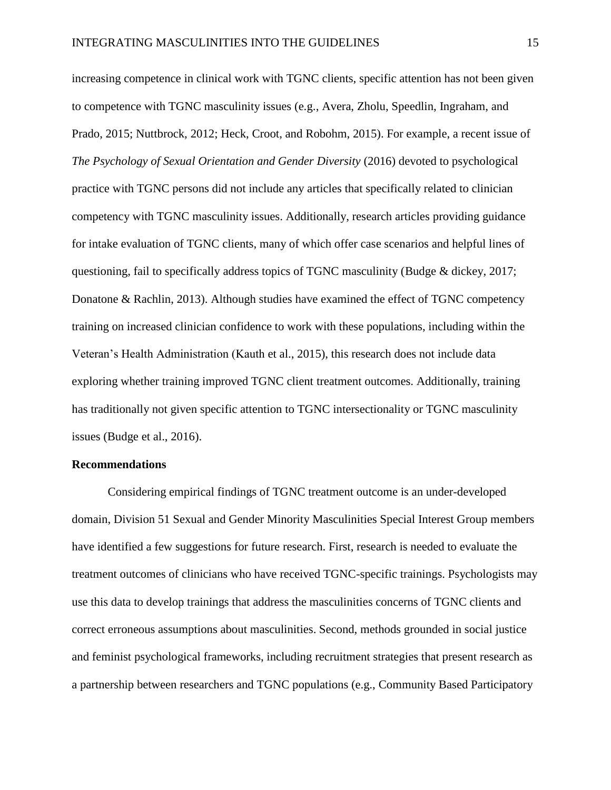increasing competence in clinical work with TGNC clients, specific attention has not been given to competence with TGNC masculinity issues (e.g., Avera, Zholu, Speedlin, Ingraham, and Prado, 2015; Nuttbrock, 2012; Heck, Croot, and Robohm, 2015). For example, a recent issue of *The Psychology of Sexual Orientation and Gender Diversity* (2016) devoted to psychological practice with TGNC persons did not include any articles that specifically related to clinician competency with TGNC masculinity issues. Additionally, research articles providing guidance for intake evaluation of TGNC clients, many of which offer case scenarios and helpful lines of questioning, fail to specifically address topics of TGNC masculinity (Budge & dickey, 2017; Donatone & Rachlin, 2013). Although studies have examined the effect of TGNC competency training on increased clinician confidence to work with these populations, including within the Veteran's Health Administration (Kauth et al., 2015), this research does not include data exploring whether training improved TGNC client treatment outcomes. Additionally, training has traditionally not given specific attention to TGNC intersectionality or TGNC masculinity issues (Budge et al., 2016).

#### **Recommendations**

Considering empirical findings of TGNC treatment outcome is an under-developed domain, Division 51 Sexual and Gender Minority Masculinities Special Interest Group members have identified a few suggestions for future research. First, research is needed to evaluate the treatment outcomes of clinicians who have received TGNC-specific trainings. Psychologists may use this data to develop trainings that address the masculinities concerns of TGNC clients and correct erroneous assumptions about masculinities. Second, methods grounded in social justice and feminist psychological frameworks, including recruitment strategies that present research as a partnership between researchers and TGNC populations (e.g., Community Based Participatory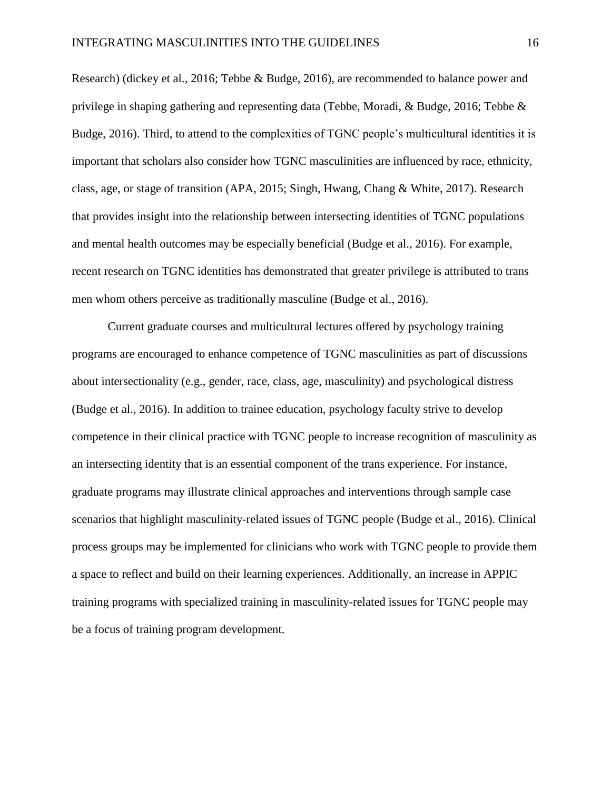Research) (dickey et al., 2016; Tebbe & Budge, 2016), are recommended to balance power and privilege in shaping gathering and representing data (Tebbe, Moradi, & Budge, 2016; Tebbe & Budge, 2016). Third, to attend to the complexities of TGNC people's multicultural identities it is important that scholars also consider how TGNC masculinities are influenced by race, ethnicity, class, age, or stage of transition (APA, 2015; Singh, Hwang, Chang & White, 2017). Research that provides insight into the relationship between intersecting identities of TGNC populations and mental health outcomes may be especially beneficial (Budge et al., 2016). For example, recent research on TGNC identities has demonstrated that greater privilege is attributed to trans men whom others perceive as traditionally masculine (Budge et al., 2016).

Current graduate courses and multicultural lectures offered by psychology training programs are encouraged to enhance competence of TGNC masculinities as part of discussions about intersectionality (e.g., gender, race, class, age, masculinity) and psychological distress (Budge et al., 2016). In addition to trainee education, psychology faculty strive to develop competence in their clinical practice with TGNC people to increase recognition of masculinity as an intersecting identity that is an essential component of the trans experience. For instance, graduate programs may illustrate clinical approaches and interventions through sample case scenarios that highlight masculinity-related issues of TGNC people (Budge et al., 2016). Clinical process groups may be implemented for clinicians who work with TGNC people to provide them a space to reflect and build on their learning experiences. Additionally, an increase in APPIC training programs with specialized training in masculinity-related issues for TGNC people may be a focus of training program development.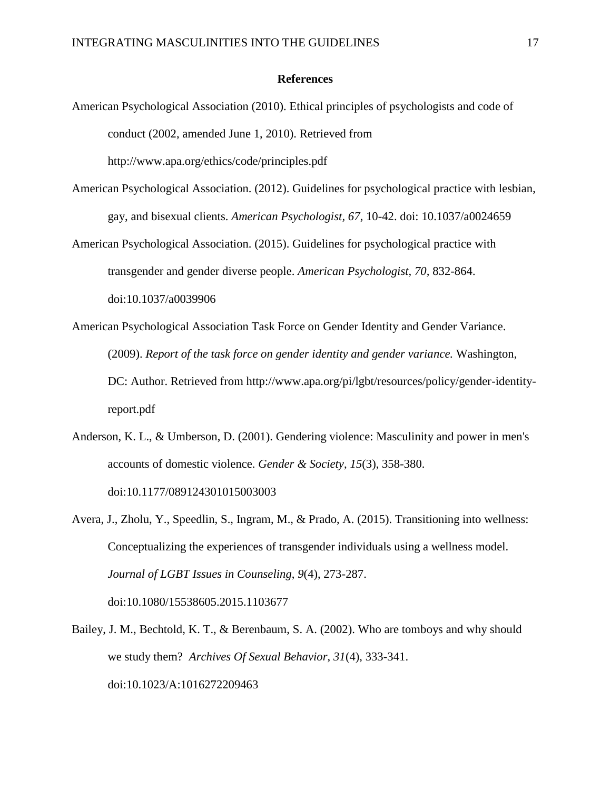## **References**

American Psychological Association (2010). Ethical principles of psychologists and code of conduct (2002, amended June 1, 2010). Retrieved from

<http://www.apa.org/ethics/code/principles.pdf>

- American Psychological Association. (2012). Guidelines for psychological practice with lesbian, gay, and bisexual clients. *American Psychologist, 67*, 10-42. doi: 10.1037/a0024659
- American Psychological Association. (2015). Guidelines for psychological practice with transgender and gender diverse people. *American Psychologist, 70,* 832-864. doi:10.1037/a0039906
- American Psychological Association Task Force on Gender Identity and Gender Variance. (2009). *Report of the task force on gender identity and gender variance.* Washington, DC: Author. Retrieved from http://www.apa.org/pi/lgbt/resources/policy/gender-identityreport.pdf
- Anderson, K. L., & Umberson, D. (2001). Gendering violence: Masculinity and power in men's accounts of domestic violence. *Gender & Society*, *15*(3), 358-380. doi:10.1177/089124301015003003
- Avera, J., Zholu, Y., Speedlin, S., Ingram, M., & Prado, A. (2015). Transitioning into wellness: Conceptualizing the experiences of transgender individuals using a wellness model. *Journal of LGBT Issues in Counseling*, *9*(4), 273-287. doi:10.1080/15538605.2015.1103677
- Bailey, J. M., Bechtold, K. T., & Berenbaum, S. A. (2002). Who are tomboys and why should we study them? *Archives Of Sexual Behavior*, *31*(4), 333-341. doi:10.1023/A:1016272209463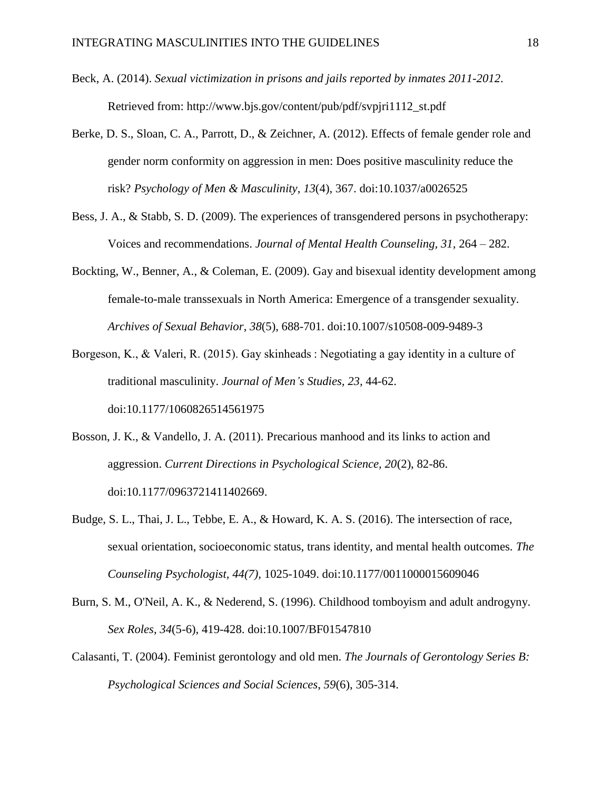- Beck, A. (2014). *Sexual victimization in prisons and jails reported by inmates 2011-2012*. Retrieved from: [http://www.bjs.gov/content/pub/pdf/svpjri1112\\_st.pdf](http://www.bjs.gov/content/pub/pdf/svpjri1112_st.pdf)
- Berke, D. S., Sloan, C. A., Parrott, D., & Zeichner, A. (2012). Effects of female gender role and gender norm conformity on aggression in men: Does positive masculinity reduce the risk? *Psychology of Men & Masculinity*, *13*(4), 367. doi:10.1037/a0026525
- Bess, J. A., & Stabb, S. D. (2009). The experiences of transgendered persons in psychotherapy: Voices and recommendations. *Journal of Mental Health Counseling, 31,* 264 – 282.
- Bockting, W., Benner, A., & Coleman, E. (2009). Gay and bisexual identity development among female-to-male transsexuals in North America: Emergence of a transgender sexuality. *Archives of Sexual Behavior*, *38*(5), 688-701. doi:10.1007/s10508-009-9489-3
- Borgeson, K., & Valeri, R. (2015). Gay skinheads : Negotiating a gay identity in a culture of traditional masculinity. *Journal of Men's Studies, 23,* 44-62. doi:10.1177/1060826514561975
- Bosson, J. K., & Vandello, J. A. (2011). Precarious manhood and its links to action and aggression. *Current Directions in Psychological Science, 20*(2), 82-86. [doi:10.1177/0963721411402669.](https://doi.org/10.1177/0963721411402669)
- Budge, S. L., Thai, J. L., Tebbe, E. A., & Howard, K. A. S. (2016). The intersection of race, sexual orientation, socioeconomic status, trans identity, and mental health outcomes. *The Counseling Psychologist, 44(7),* 1025-1049. doi:10.1177/0011000015609046
- Burn, S. M., O'Neil, A. K., & Nederend, S. (1996). Childhood tomboyism and adult androgyny. *Sex Roles*, *34*(5-6), 419-428. doi:10.1007/BF01547810
- Calasanti, T. (2004). Feminist gerontology and old men. *The Journals of Gerontology Series B: Psychological Sciences and Social Sciences*, *59*(6), 305-314.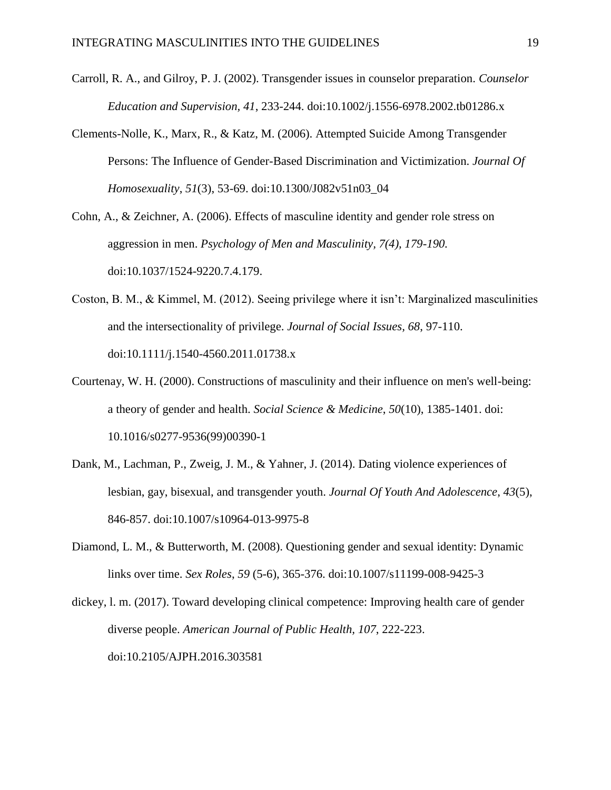- Carroll, R. A., and Gilroy, P. J. (2002). Transgender issues in counselor preparation. *Counselor Education and Supervision, 41*, 233-244. [doi:10.1002/j.1556-6978.2002.tb01286.x](https://doi.org/10.1002/j.1556-6978.2002.tb01286.x)
- Clements-Nolle, K., Marx, R., & Katz, M. (2006). Attempted Suicide Among Transgender Persons: The Influence of Gender-Based Discrimination and Victimization. *Journal Of Homosexuality*, *51*(3), 53-69. doi:10.1300/J082v51n03\_04

Cohn, A., & Zeichner, A. (2006). Effects of masculine identity and gender role stress on aggression in men. *Psychology of Men and Masculinity, 7(4), 179-190.* [doi:10.1037/1524-9220.7.4.179.](https://doi.org/10.1037/1524-9220.7.4.179)

- Coston, B. M., & Kimmel, M. (2012). Seeing privilege where it isn't: Marginalized masculinities and the intersectionality of privilege. *Journal of Social Issues, 68*, 97-110. doi:10.1111/j.1540-4560.2011.01738.x
- Courtenay, W. H. (2000). Constructions of masculinity and their influence on men's well-being: a theory of gender and health. *Social Science & Medicine*, *50*(10), 1385-1401. doi: 10.1016/s0277-9536(99)00390-1
- Dank, M., Lachman, P., Zweig, J. M., & Yahner, J. (2014). Dating violence experiences of lesbian, gay, bisexual, and transgender youth. *Journal Of Youth And Adolescence*, *43*(5), 846-857. doi:10.1007/s10964-013-9975-8
- Diamond, L. M., & Butterworth, M. (2008). Questioning gender and sexual identity: Dynamic links over time. *Sex Roles*, *59* (5-6), 365-376. doi:10.1007/s11199-008-9425-3

dickey, l. m. (2017). Toward developing clinical competence: Improving health care of gender diverse people. *American Journal of Public Health, 107*, 222-223. doi:10.2105/AJPH.2016.303581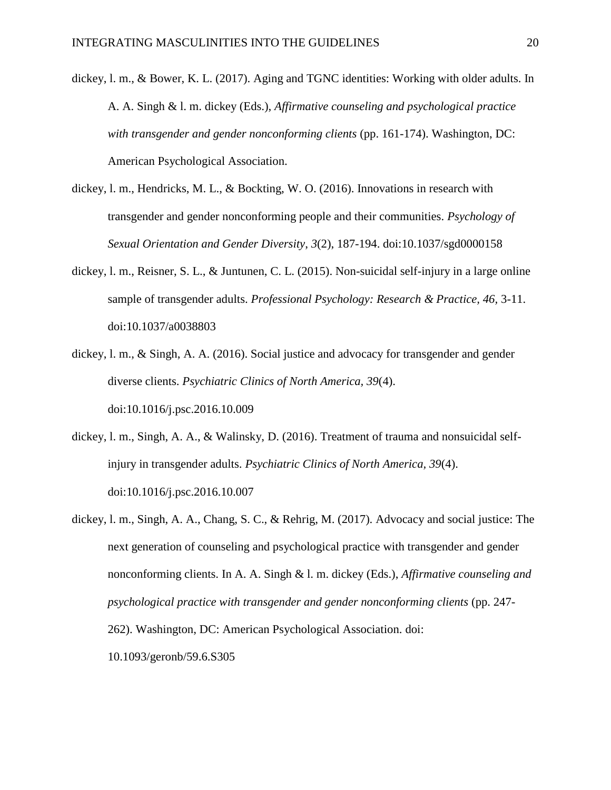- dickey, l. m., & Bower, K. L. (2017). Aging and TGNC identities: Working with older adults. In A. A. Singh & l. m. dickey (Eds.), *Affirmative counseling and psychological practice with transgender and gender nonconforming clients* (pp. 161-174). Washington, DC: American Psychological Association.
- dickey, l. m., Hendricks, M. L., & Bockting, W. O. (2016). Innovations in research with transgender and gender nonconforming people and their communities. *Psychology of Sexual Orientation and Gender Diversity*, *3*(2), 187-194. doi:10.1037/sgd0000158
- dickey, l. m., Reisner, S. L., & Juntunen, C. L. (2015). Non-suicidal self-injury in a large online sample of transgender adults. *Professional Psychology: Research & Practice, 46,* 3-11. doi:10.1037/a0038803
- dickey, l. m., & Singh, A. A. (2016). Social justice and advocacy for transgender and gender diverse clients. *Psychiatric Clinics of North America, 39*(4). doi:10.1016/j.psc.2016.10.009
- dickey, l. m., Singh, A. A., & Walinsky, D. (2016). Treatment of trauma and nonsuicidal selfinjury in transgender adults. *Psychiatric Clinics of North America, 39*(4). doi:10.1016/j.psc.2016.10.007
- dickey, l. m., Singh, A. A., Chang, S. C., & Rehrig, M. (2017). Advocacy and social justice: The next generation of counseling and psychological practice with transgender and gender nonconforming clients. In A. A. Singh & l. m. dickey (Eds.), *Affirmative counseling and psychological practice with transgender and gender nonconforming clients* (pp. 247- 262). Washington, DC: American Psychological Association. doi: 10.1093/geronb/59.6.S305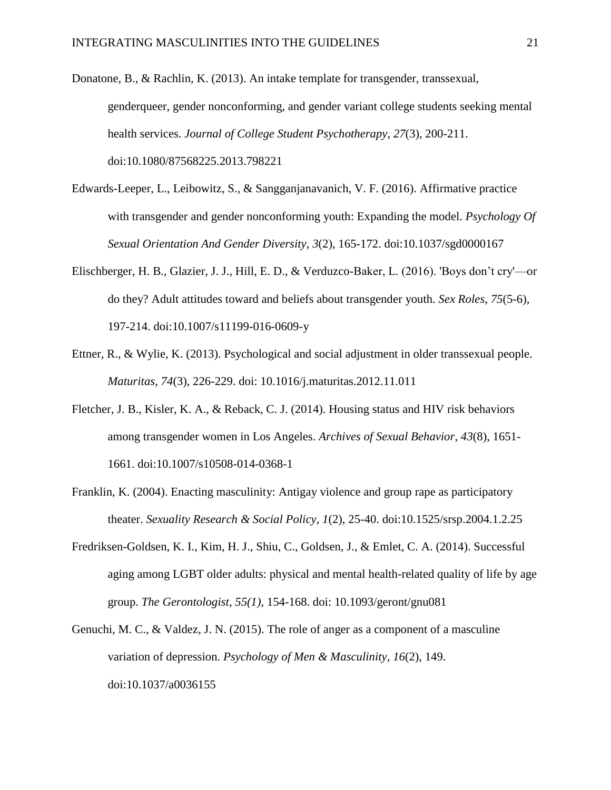- Donatone, B., & Rachlin, K. (2013). An intake template for transgender, transsexual, genderqueer, gender nonconforming, and gender variant college students seeking mental health services. *Journal of College Student Psychotherapy*, *27*(3), 200-211. doi:10.1080/87568225.2013.798221
- Edwards-Leeper, L., Leibowitz, S., & Sangganjanavanich, V. F. (2016). Affirmative practice with transgender and gender nonconforming youth: Expanding the model. *Psychology Of Sexual Orientation And Gender Diversity*, *3*(2), 165-172. doi:10.1037/sgd0000167
- Elischberger, H. B., Glazier, J. J., Hill, E. D., & Verduzco-Baker, L. (2016). 'Boys don't cry'—or do they? Adult attitudes toward and beliefs about transgender youth. *Sex Roles*, *75*(5-6), 197-214. doi:10.1007/s11199-016-0609-y
- Ettner, R., & Wylie, K. (2013). Psychological and social adjustment in older transsexual people. *Maturitas*, *74*(3), 226-229. doi: 10.1016/j.maturitas.2012.11.011
- Fletcher, J. B., Kisler, K. A., & Reback, C. J. (2014). Housing status and HIV risk behaviors among transgender women in Los Angeles. *Archives of Sexual Behavior*, *43*(8), 1651- 1661. doi:10.1007/s10508-014-0368-1
- Franklin, K. (2004). Enacting masculinity: Antigay violence and group rape as participatory theater. *Sexuality Research & Social Policy*, *1*(2), 25-40. doi:10.1525/srsp.2004.1.2.25
- Fredriksen-Goldsen, K. I., Kim, H. J., Shiu, C., Goldsen, J., & Emlet, C. A. (2014). Successful aging among LGBT older adults: physical and mental health-related quality of life by age group. *The Gerontologist*, *55(1),* 154-168. doi: 10.1093/geront/gnu081
- Genuchi, M. C., & Valdez, J. N. (2015). The role of anger as a component of a masculine variation of depression. *Psychology of Men & Masculinity*, *16*(2), 149. doi:10.1037/a0036155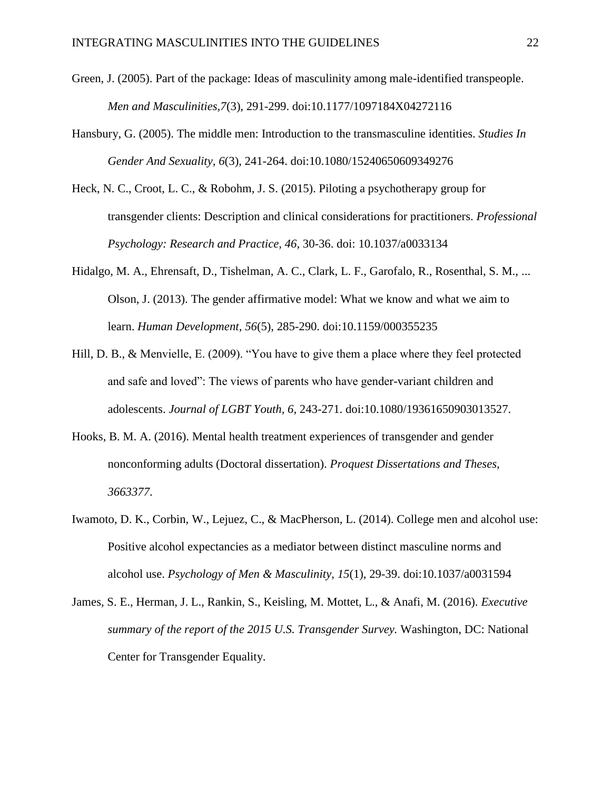- Green, J. (2005). Part of the package: Ideas of masculinity among male-identified transpeople. *Men and Masculinities,7*(3), 291-299. doi:10.1177/1097184X04272116
- Hansbury, G. (2005). The middle men: Introduction to the transmasculine identities. *Studies In Gender And Sexuality, 6*(3), 241-264. doi:10.1080/15240650609349276
- Heck, N. C., Croot, L. C., & Robohm, J. S. (2015). Piloting a psychotherapy group for transgender clients: Description and clinical considerations for practitioners. *Professional Psychology: Research and Practice, 46*, 30-36. doi: 10.1037/a0033134
- Hidalgo, M. A., Ehrensaft, D., Tishelman, A. C., Clark, L. F., Garofalo, R., Rosenthal, S. M., ... Olson, J. (2013). The gender affirmative model: What we know and what we aim to learn. *Human Development*, *56*(5), 285-290. doi:10.1159/000355235
- Hill, D. B., & Menvielle, E. (2009). "You have to give them a place where they feel protected and safe and loved": The views of parents who have gender-variant children and adolescents. *Journal of LGBT Youth, 6*, 243-271. doi:10.1080/19361650903013527.
- Hooks, B. M. A. (2016). Mental health treatment experiences of transgender and gender nonconforming adults (Doctoral dissertation). *Proquest Dissertations and Theses, 3663377*.
- Iwamoto, D. K., Corbin, W., Lejuez, C., & MacPherson, L. (2014). College men and alcohol use: Positive alcohol expectancies as a mediator between distinct masculine norms and alcohol use. *Psychology of Men & Masculinity*, *15*(1), 29-39. doi:10.1037/a0031594
- James, S. E., Herman, J. L., Rankin, S., Keisling, M. Mottet, L., & Anafi, M. (2016). *Executive summary of the report of the 2015 U.S. Transgender Survey.* Washington, DC: National Center for Transgender Equality.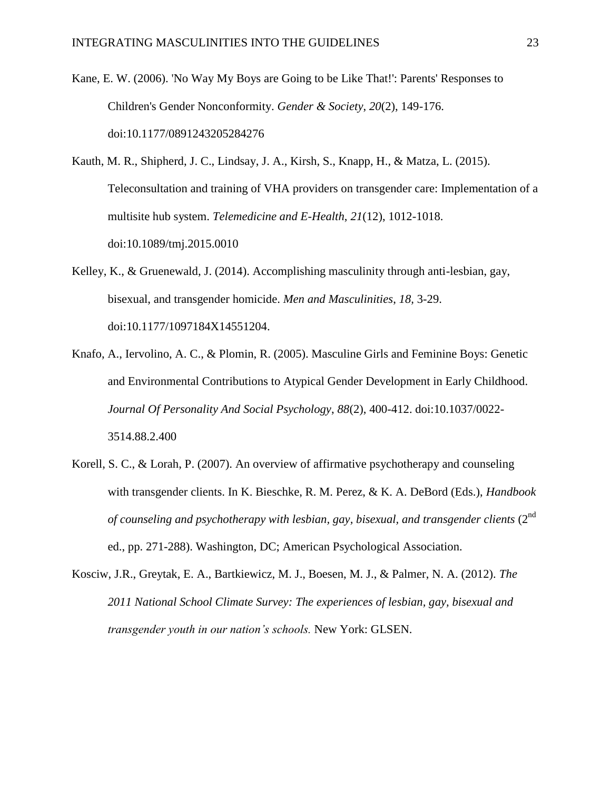- Kane, E. W. (2006). 'No Way My Boys are Going to be Like That!': Parents' Responses to Children's Gender Nonconformity. *Gender & Society*, *20*(2), 149-176. doi:10.1177/0891243205284276
- Kauth, M. R., Shipherd, J. C., Lindsay, J. A., Kirsh, S., Knapp, H., & Matza, L. (2015). Teleconsultation and training of VHA providers on transgender care: Implementation of a multisite hub system. *Telemedicine and E-Health*, *21*(12), 1012-1018. doi:10.1089/tmj.2015.0010
- Kelley, K., & Gruenewald, J. (2014). Accomplishing masculinity through anti-lesbian, gay, bisexual, and transgender homicide. *Men and Masculinities*, *18,* 3-29. doi:10.1177/1097184X14551204.
- Knafo, A., Iervolino, A. C., & Plomin, R. (2005). Masculine Girls and Feminine Boys: Genetic and Environmental Contributions to Atypical Gender Development in Early Childhood. *Journal Of Personality And Social Psychology*, *88*(2), 400-412. doi:10.1037/0022- 3514.88.2.400
- Korell, S. C., & Lorah, P. (2007). An overview of affirmative psychotherapy and counseling with transgender clients. In K. Bieschke, R. M. Perez, & K. A. DeBord (Eds.), *Handbook of counseling and psychotherapy with lesbian, gay, bisexual, and transgender clients* (2<sup>nd</sup>) ed., pp. 271-288). Washington, DC; American Psychological Association.
- Kosciw, J.R., Greytak, E. A., Bartkiewicz, M. J., Boesen, M. J., & Palmer, N. A. (2012). *The 2011 National School Climate Survey: The experiences of lesbian, gay, bisexual and transgender youth in our nation's schools.* New York: GLSEN.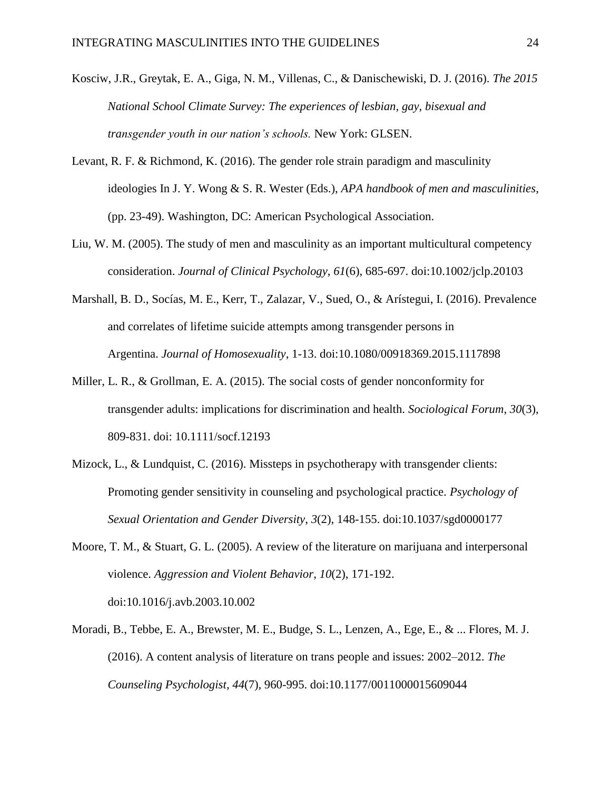- Kosciw, J.R., Greytak, E. A., Giga, N. M., Villenas, C., & Danischewiski, D. J. (2016). *The 2015 National School Climate Survey: The experiences of lesbian, gay, bisexual and transgender youth in our nation's schools.* New York: GLSEN.
- Levant, R. F. & Richmond, K. (2016). The gender role strain paradigm and masculinity ideologies In J. Y. Wong & S. R. Wester (Eds.), *APA handbook of men and masculinities*, (pp. 23-49). Washington, DC: American Psychological Association.
- Liu, W. M. (2005). The study of men and masculinity as an important multicultural competency consideration. *Journal of Clinical Psychology*, *61*(6), 685-697. doi:10.1002/jclp.20103
- Marshall, B. D., Socías, M. E., Kerr, T., Zalazar, V., Sued, O., & Arístegui, I. (2016). Prevalence and correlates of lifetime suicide attempts among transgender persons in Argentina. *Journal of Homosexuality*, 1-13. doi:10.1080/00918369.2015.1117898
- Miller, L. R., & Grollman, E. A. (2015). The social costs of gender nonconformity for transgender adults: implications for discrimination and health. *Sociological Forum*, *30*(3), 809-831. doi: 10.1111/socf.12193
- Mizock, L., & Lundquist, C. (2016). Missteps in psychotherapy with transgender clients: Promoting gender sensitivity in counseling and psychological practice. *Psychology of Sexual Orientation and Gender Diversity*, *3*(2), 148-155. doi:10.1037/sgd0000177
- Moore, T. M., & Stuart, G. L. (2005). A review of the literature on marijuana and interpersonal violence. *Aggression and Violent Behavior*, *10*(2), 171-192. doi:10.1016/j.avb.2003.10.002
- Moradi, B., Tebbe, E. A., Brewster, M. E., Budge, S. L., Lenzen, A., Ege, E., & ... Flores, M. J. (2016). A content analysis of literature on trans people and issues: 2002–2012. *The Counseling Psychologist*, *44*(7), 960-995. doi:10.1177/0011000015609044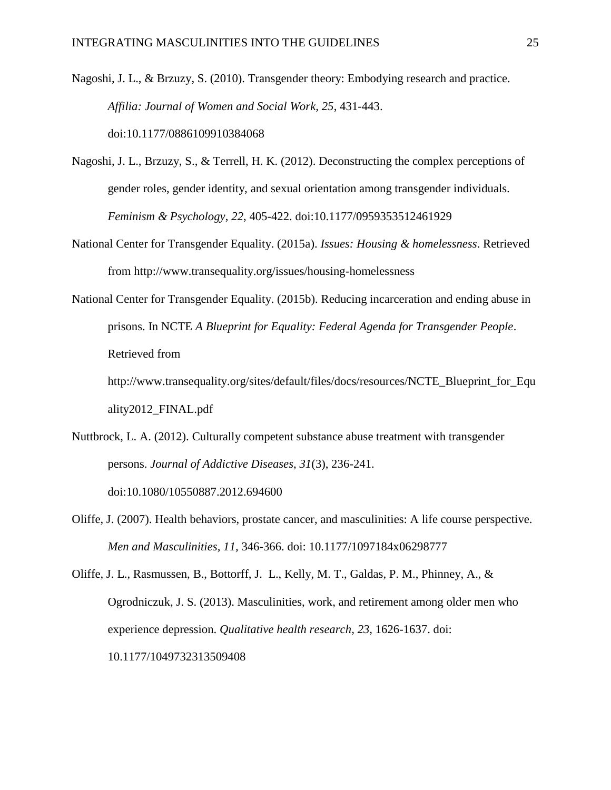Nagoshi, J. L., & Brzuzy, S. (2010). Transgender theory: Embodying research and practice. *Affilia: Journal of Women and Social Work, 25*, 431-443. doi:10.1177/0886109910384068

- Nagoshi, J. L., Brzuzy, S., & Terrell, H. K. (2012). Deconstructing the complex perceptions of gender roles, gender identity, and sexual orientation among transgender individuals. *Feminism & Psychology*, *22*, 405-422. doi:10.1177/0959353512461929
- National Center for Transgender Equality. (2015a). *Issues: Housing & homelessness*. Retrieved from<http://www.transequality.org/issues/housing-homelessness>
- National Center for Transgender Equality. (2015b). Reducing incarceration and ending abuse in prisons. In NCTE *A Blueprint for Equality: Federal Agenda for Transgender People*. Retrieved from

[http://www.transequality.org/sites/default/files/docs/resources/NCTE\\_Blueprint\\_for\\_Equ](http://www.transequality.org/sites/default/files/docs/resources/NCTE_Blueprint_for_Equality2012_FINAL.pdf) [ality2012\\_FINAL.pdf](http://www.transequality.org/sites/default/files/docs/resources/NCTE_Blueprint_for_Equality2012_FINAL.pdf)

- Nuttbrock, L. A. (2012). Culturally competent substance abuse treatment with transgender persons. *Journal of Addictive Diseases*, *31*(3), 236-241. doi:10.1080/10550887.2012.694600
- Oliffe, J. (2007). Health behaviors, prostate cancer, and masculinities: A life course perspective. *Men and Masculinities, 11,* 346-366. doi: 10.1177/1097184x06298777

Oliffe, J. L., Rasmussen, B., Bottorff, J. L., Kelly, M. T., Galdas, P. M., Phinney, A., & Ogrodniczuk, J. S. (2013). Masculinities, work, and retirement among older men who experience depression. *Qualitative health research, 23,* 1626-1637. doi: 10.1177/1049732313509408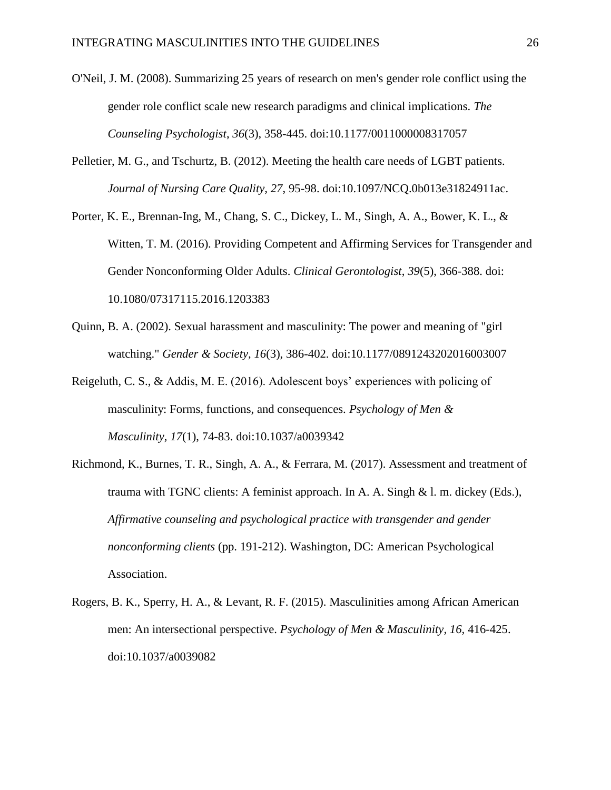- O'Neil, J. M. (2008). Summarizing 25 years of research on men's gender role conflict using the gender role conflict scale new research paradigms and clinical implications. *The Counseling Psychologist*, *36*(3), 358-445. doi:10.1177/0011000008317057
- Pelletier, M. G., and Tschurtz, B. (2012). Meeting the health care needs of LGBT patients. *Journal of Nursing Care Quality, 27*, 95-98. [doi:10.1097/NCQ.0b013e31824911ac.](https://doi.org/10.1097/NCQ.0b013e31824911ac)
- Porter, K. E., Brennan-Ing, M., Chang, S. C., Dickey, L. M., Singh, A. A., Bower, K. L., & Witten, T. M. (2016). Providing Competent and Affirming Services for Transgender and Gender Nonconforming Older Adults. *Clinical Gerontologist*, *39*(5), 366-388. doi: 10.1080/07317115.2016.1203383
- Quinn, B. A. (2002). Sexual harassment and masculinity: The power and meaning of "girl watching." *Gender & Society, 16*(3), 386-402. doi[:10.1177/0891243202016003007](https://doi.org/10.1177/0891243202016003007)
- Reigeluth, C. S., & Addis, M. E. (2016). Adolescent boys' experiences with policing of masculinity: Forms, functions, and consequences. *Psychology of Men & Masculinity*, *17*(1), 74-83. doi:10.1037/a0039342
- Richmond, K., Burnes, T. R., Singh, A. A., & Ferrara, M. (2017). Assessment and treatment of trauma with TGNC clients: A feminist approach. In A. A. Singh & l. m. dickey (Eds.), *Affirmative counseling and psychological practice with transgender and gender nonconforming clients* (pp. 191-212). Washington, DC: American Psychological Association.
- Rogers, B. K., Sperry, H. A., & Levant, R. F. (2015). Masculinities among African American men: An intersectional perspective. *Psychology of Men & Masculinity, 16,* 416-425. doi:10.1037/a0039082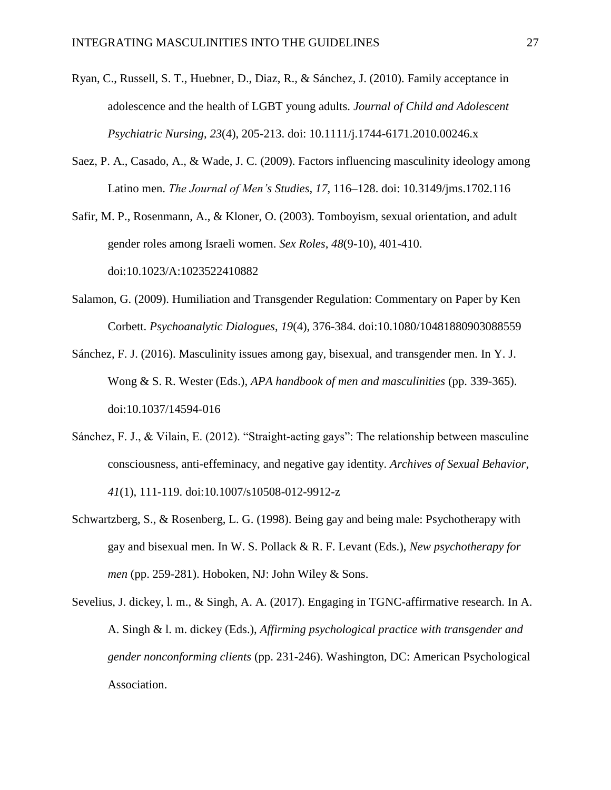- Ryan, C., Russell, S. T., Huebner, D., Diaz, R., & Sánchez, J. (2010). Family acceptance in adolescence and the health of LGBT young adults. *Journal of Child and Adolescent Psychiatric Nursing*, *23*(4), 205-213. doi: 10.1111/j.1744-6171.2010.00246.x
- Saez, P. A., Casado, A., & Wade, J. C. (2009). Factors influencing masculinity ideology among Latino men. *The Journal of Men's Studies, 17*, 116–128. doi: 10.3149/jms.1702.116

Safir, M. P., Rosenmann, A., & Kloner, O. (2003). Tomboyism, sexual orientation, and adult gender roles among Israeli women. *Sex Roles*, *48*(9-10), 401-410. doi:10.1023/A:1023522410882

- Salamon, G. (2009). Humiliation and Transgender Regulation: Commentary on Paper by Ken Corbett. *Psychoanalytic Dialogues*, *19*(4), 376-384. doi:10.1080/10481880903088559
- Sánchez, F. J. (2016). Masculinity issues among gay, bisexual, and transgender men. In Y. J. Wong & S. R. Wester (Eds.), *APA handbook of men and masculinities* (pp. 339-365). [doi:10.1037/14594-016](http://psycnet.apa.org/doi/10.1037/14594-016)
- Sánchez, F. J., & Vilain, E. (2012). "Straight-acting gays": The relationship between masculine consciousness, anti-effeminacy, and negative gay identity. *Archives of Sexual Behavior*, *41*(1), 111-119. doi:10.1007/s10508-012-9912-z
- Schwartzberg, S., & Rosenberg, L. G. (1998). Being gay and being male: Psychotherapy with gay and bisexual men. In W. S. Pollack & R. F. Levant (Eds.), *New psychotherapy for men* (pp. 259-281). Hoboken, NJ: John Wiley & Sons.
- Sevelius, J. dickey, l. m., & Singh, A. A. (2017). Engaging in TGNC-affirmative research. In A. A. Singh & l. m. dickey (Eds.), *Affirming psychological practice with transgender and gender nonconforming clients* (pp. 231-246). Washington, DC: American Psychological Association.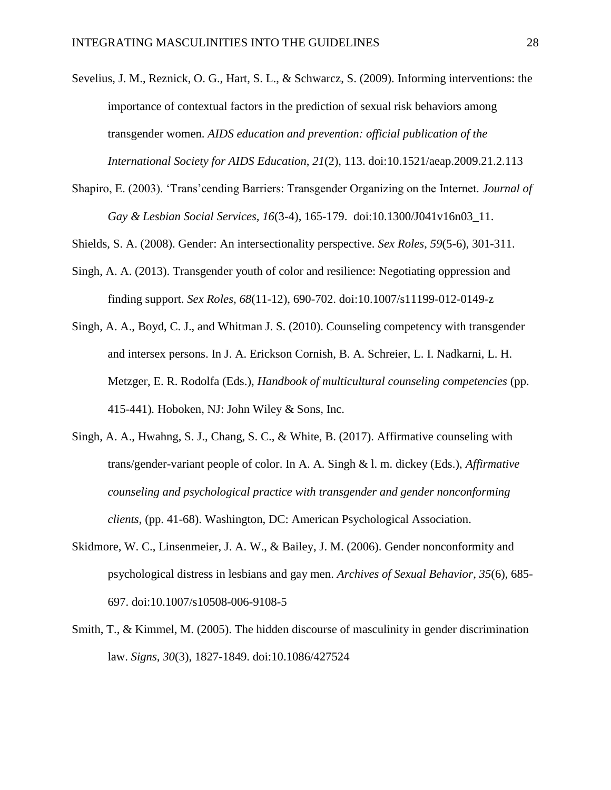- Sevelius, J. M., Reznick, O. G., Hart, S. L., & Schwarcz, S. (2009). Informing interventions: the importance of contextual factors in the prediction of sexual risk behaviors among transgender women. *AIDS education and prevention: official publication of the International Society for AIDS Education*, *21*(2), 113. doi:10.1521/aeap.2009.21.2.113
- Shapiro, E. (2003). 'Trans'cending Barriers: Transgender Organizing on the Internet. *Journal of Gay & Lesbian Social Services, 16*(3-4), 165-179. [doi:10.1300/J041v16n03\\_11.](https://doi.org/10.1300/J041v16n03_11)
- Shields, S. A. (2008). Gender: An intersectionality perspective. *Sex Roles*, *59*(5-6), 301-311.
- Singh, A. A. (2013). Transgender youth of color and resilience: Negotiating oppression and finding support. *Sex Roles, 68*(11-12), 690-702. [doi:10.1007/s11199-012-0149-z](https://doi.org/10.1007/s11199-012-0149-z)
- Singh, A. A., Boyd, C. J., and Whitman J. S. (2010). Counseling competency with transgender and intersex persons. In J. A. Erickson Cornish, B. A. Schreier, L. I. Nadkarni, L. H. Metzger, E. R. Rodolfa (Eds.), *Handbook of multicultural counseling competencies* (pp. 415-441)*.* Hoboken, NJ: John Wiley & Sons, Inc.
- Singh, A. A., Hwahng, S. J., Chang, S. C., & White, B. (2017). Affirmative counseling with trans/gender-variant people of color. In A. A. Singh & l. m. dickey (Eds.), *Affirmative counseling and psychological practice with transgender and gender nonconforming clients*, (pp. 41-68). Washington, DC: American Psychological Association.
- Skidmore, W. C., Linsenmeier, J. A. W., & Bailey, J. M. (2006). Gender nonconformity and psychological distress in lesbians and gay men. *Archives of Sexual Behavior*, *35*(6), 685- 697. doi:10.1007/s10508-006-9108-5
- Smith, T., & Kimmel, M. (2005). The hidden discourse of masculinity in gender discrimination law. *Signs, 30*(3), 1827-1849. doi:10.1086/427524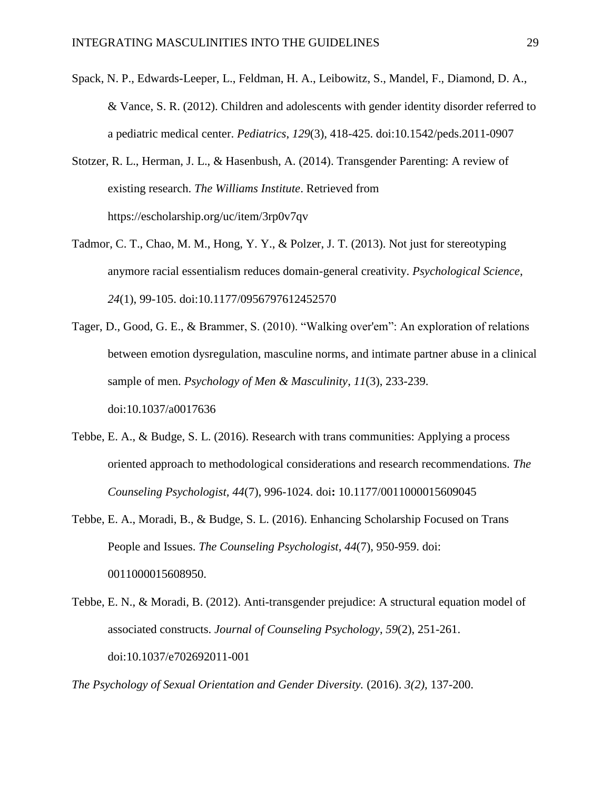- Spack, N. P., Edwards-Leeper, L., Feldman, H. A., Leibowitz, S., Mandel, F., Diamond, D. A., & Vance, S. R. (2012). Children and adolescents with gender identity disorder referred to a pediatric medical center. *Pediatrics*, *129*(3), 418-425. doi:10.1542/peds.2011-0907
- Stotzer, R. L., Herman, J. L., & Hasenbush, A. (2014). Transgender Parenting: A review of existing research. *The Williams Institute*. Retrieved from <https://escholarship.org/uc/item/3rp0v7qv>
- Tadmor, C. T., Chao, M. M., Hong, Y. Y., & Polzer, J. T. (2013). Not just for stereotyping anymore racial essentialism reduces domain-general creativity. *Psychological Science*, *24*(1), 99-105. doi:10.1177/0956797612452570
- Tager, D., Good, G. E., & Brammer, S. (2010). "Walking over'em": An exploration of relations between emotion dysregulation, masculine norms, and intimate partner abuse in a clinical sample of men. *Psychology of Men & Masculinity*, *11*(3), 233-239. doi:10.1037/a0017636
- Tebbe, E. A., & Budge, S. L. (2016). Research with trans communities: Applying a process oriented approach to methodological considerations and research recommendations. *The Counseling Psychologist, 44*(7), 996-1024. doi**:** 10.1177/0011000015609045
- Tebbe, E. A., Moradi, B., & Budge, S. L. (2016). Enhancing Scholarship Focused on Trans People and Issues. *The Counseling Psychologist*, *44*(7), 950-959. doi: 0011000015608950.
- Tebbe, E. N., & Moradi, B. (2012). Anti-transgender prejudice: A structural equation model of associated constructs. *Journal of Counseling Psychology*, *59*(2), 251-261. doi:10.1037/e702692011-001

*The Psychology of Sexual Orientation and Gender Diversity.* (2016). *3(2),* 137-200.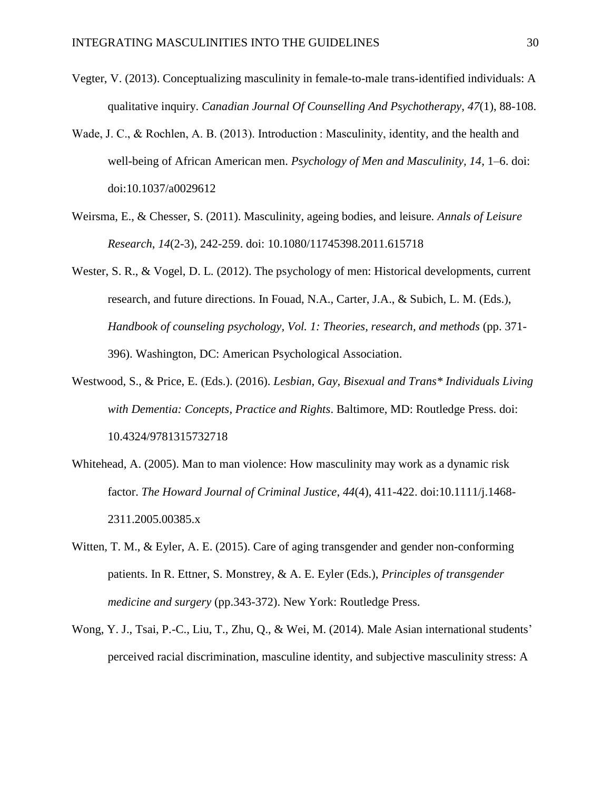- Vegter, V. (2013). Conceptualizing masculinity in female-to-male trans-identified individuals: A qualitative inquiry. *Canadian Journal Of Counselling And Psychotherapy*, *47*(1), 88-108.
- Wade, J. C., & Rochlen, A. B. (2013). Introduction : Masculinity, identity, and the health and well-being of African American men. *Psychology of Men and Masculinity, 14*, 1–6. doi: doi:10.1037/a0029612
- Weirsma, E., & Chesser, S. (2011). Masculinity, ageing bodies, and leisure. *Annals of Leisure Research*, *14*(2-3), 242-259. doi: 10.1080/11745398.2011.615718
- Wester, S. R., & Vogel, D. L. (2012). The psychology of men: Historical developments, current research, and future directions. In Fouad, N.A., Carter, J.A., & Subich, L. M. (Eds.), *Handbook of counseling psychology, Vol. 1: Theories, research, and methods (pp. 371-*396). Washington, DC: American Psychological Association.
- Westwood, S., & Price, E. (Eds.). (2016). *Lesbian, Gay, Bisexual and Trans\* Individuals Living with Dementia: Concepts, Practice and Rights*. Baltimore, MD: Routledge Press. doi: 10.4324/9781315732718
- Whitehead, A. (2005). Man to man violence: How masculinity may work as a dynamic risk factor. *The Howard Journal of Criminal Justice*, *44*(4), 411-422. doi:10.1111/j.1468- 2311.2005.00385.x
- Witten, T. M., & Eyler, A. E. (2015). Care of aging transgender and gender non-conforming patients. In R. Ettner, S. Monstrey, & A. E. Eyler (Eds.), *Principles of transgender medicine and surgery* (pp.343-372). New York: Routledge Press.
- Wong, Y. J., Tsai, P.-C., Liu, T., Zhu, Q., & Wei, M. (2014). Male Asian international students' perceived racial discrimination, masculine identity, and subjective masculinity stress: A